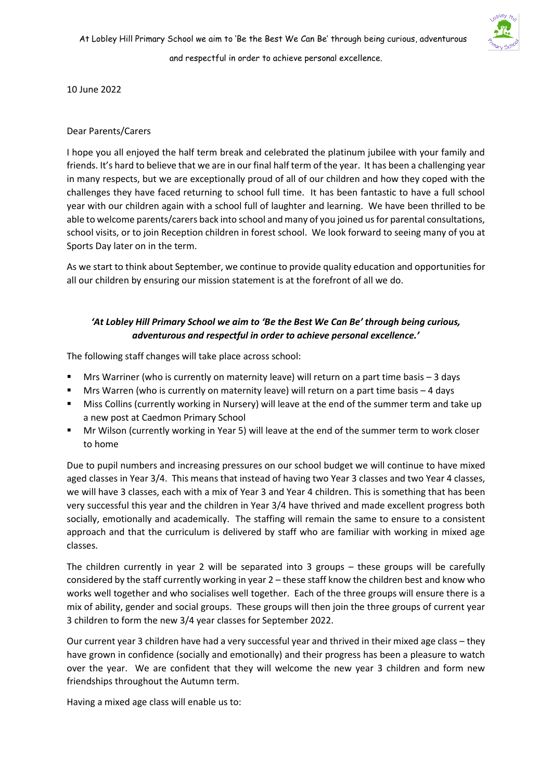

10 June 2022

## Dear Parents/Carers

I hope you all enjoyed the half term break and celebrated the platinum jubilee with your family and friends. It's hard to believe that we are in our final half term of the year. It has been a challenging year in many respects, but we are exceptionally proud of all of our children and how they coped with the challenges they have faced returning to school full time. It has been fantastic to have a full school year with our children again with a school full of laughter and learning. We have been thrilled to be able to welcome parents/carers back into school and many of you joined us for parental consultations, school visits, or to join Reception children in forest school. We look forward to seeing many of you at Sports Day later on in the term.

As we start to think about September, we continue to provide quality education and opportunities for all our children by ensuring our mission statement is at the forefront of all we do.

# *'At Lobley Hill Primary School we aim to 'Be the Best We Can Be' through being curious, adventurous and respectful in order to achieve personal excellence.'*

The following staff changes will take place across school:

- Mrs Warriner (who is currently on maternity leave) will return on a part time basis  $-3$  days
- Mrs Warren (who is currently on maternity leave) will return on a part time basis  $-4$  days
- Miss Collins (currently working in Nursery) will leave at the end of the summer term and take up a new post at Caedmon Primary School
- Mr Wilson (currently working in Year 5) will leave at the end of the summer term to work closer to home

Due to pupil numbers and increasing pressures on our school budget we will continue to have mixed aged classes in Year 3/4. This means that instead of having two Year 3 classes and two Year 4 classes, we will have 3 classes, each with a mix of Year 3 and Year 4 children. This is something that has been very successful this year and the children in Year 3/4 have thrived and made excellent progress both socially, emotionally and academically. The staffing will remain the same to ensure to a consistent approach and that the curriculum is delivered by staff who are familiar with working in mixed age classes.

The children currently in year 2 will be separated into 3 groups – these groups will be carefully considered by the staff currently working in year 2 – these staff know the children best and know who works well together and who socialises well together. Each of the three groups will ensure there is a mix of ability, gender and social groups. These groups will then join the three groups of current year 3 children to form the new 3/4 year classes for September 2022.

Our current year 3 children have had a very successful year and thrived in their mixed age class – they have grown in confidence (socially and emotionally) and their progress has been a pleasure to watch over the year. We are confident that they will welcome the new year 3 children and form new friendships throughout the Autumn term.

Having a mixed age class will enable us to: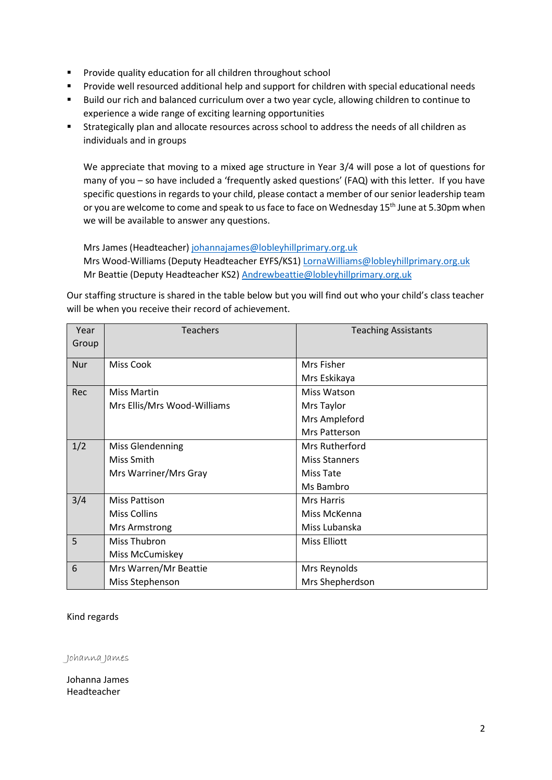- Provide quality education for all children throughout school
- Provide well resourced additional help and support for children with special educational needs
- Build our rich and balanced curriculum over a two year cycle, allowing children to continue to experience a wide range of exciting learning opportunities
- Strategically plan and allocate resources across school to address the needs of all children as individuals and in groups

We appreciate that moving to a mixed age structure in Year 3/4 will pose a lot of questions for many of you – so have included a 'frequently asked questions' (FAQ) with this letter. If you have specific questions in regards to your child, please contact a member of our senior leadership team or you are welcome to come and speak to us face to face on Wednesday 15<sup>th</sup> June at 5.30pm when we will be available to answer any questions.

Mrs James (Headteacher[\) johannajames@lobleyhillprimary.org.uk](mailto:johannajames@lobleyhillprimary.org.uk) Mrs Wood-Williams (Deputy Headteacher EYFS/KS1) [LornaWilliams@lobleyhillprimary.org.uk](mailto:LornaWilliams@lobleyhillprimary.org.uk) Mr Beattie (Deputy Headteacher KS2) [Andrewbeattie@lobleyhillprimary.org.uk](mailto:Andrewbeattie@lobleyhillprimary.org.uk)

Our staffing structure is shared in the table below but you will find out who your child's class teacher will be when you receive their record of achievement.

| Year<br>Group | <b>Teachers</b>             | <b>Teaching Assistants</b> |
|---------------|-----------------------------|----------------------------|
|               |                             |                            |
| <b>Nur</b>    | <b>Miss Cook</b>            | Mrs Fisher                 |
|               |                             | Mrs Eskikaya               |
| Rec           | <b>Miss Martin</b>          | Miss Watson                |
|               | Mrs Ellis/Mrs Wood-Williams | Mrs Taylor                 |
|               |                             | Mrs Ampleford              |
|               |                             | Mrs Patterson              |
| 1/2           | <b>Miss Glendenning</b>     | Mrs Rutherford             |
|               | Miss Smith                  | <b>Miss Stanners</b>       |
|               | Mrs Warriner/Mrs Gray       | Miss Tate                  |
|               |                             | Ms Bambro                  |
| 3/4           | <b>Miss Pattison</b>        | <b>Mrs Harris</b>          |
|               | <b>Miss Collins</b>         | Miss McKenna               |
|               | Mrs Armstrong               | Miss Lubanska              |
| 5             | Miss Thubron                | <b>Miss Elliott</b>        |
|               | Miss McCumiskey             |                            |
| 6             | Mrs Warren/Mr Beattie       | Mrs Reynolds               |
|               | Miss Stephenson             | Mrs Shepherdson            |

### Kind regards

Johanna James

Johanna James Headteacher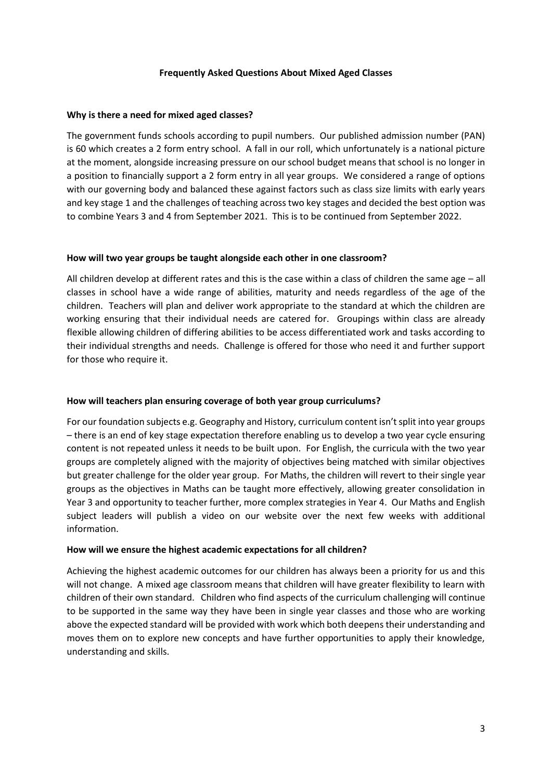#### **Frequently Asked Questions About Mixed Aged Classes**

#### **Why is there a need for mixed aged classes?**

The government funds schools according to pupil numbers. Our published admission number (PAN) is 60 which creates a 2 form entry school. A fall in our roll, which unfortunately is a national picture at the moment, alongside increasing pressure on our school budget means that school is no longer in a position to financially support a 2 form entry in all year groups. We considered a range of options with our governing body and balanced these against factors such as class size limits with early years and key stage 1 and the challenges of teaching across two key stages and decided the best option was to combine Years 3 and 4 from September 2021. This is to be continued from September 2022.

#### **How will two year groups be taught alongside each other in one classroom?**

All children develop at different rates and this is the case within a class of children the same age – all classes in school have a wide range of abilities, maturity and needs regardless of the age of the children. Teachers will plan and deliver work appropriate to the standard at which the children are working ensuring that their individual needs are catered for. Groupings within class are already flexible allowing children of differing abilities to be access differentiated work and tasks according to their individual strengths and needs. Challenge is offered for those who need it and further support for those who require it.

### **How will teachers plan ensuring coverage of both year group curriculums?**

For our foundation subjects e.g. Geography and History, curriculum content isn't split into year groups – there is an end of key stage expectation therefore enabling us to develop a two year cycle ensuring content is not repeated unless it needs to be built upon. For English, the curricula with the two year groups are completely aligned with the majority of objectives being matched with similar objectives but greater challenge for the older year group. For Maths, the children will revert to their single year groups as the objectives in Maths can be taught more effectively, allowing greater consolidation in Year 3 and opportunity to teacher further, more complex strategies in Year 4. Our Maths and English subject leaders will publish a video on our website over the next few weeks with additional information.

### **How will we ensure the highest academic expectations for all children?**

Achieving the highest academic outcomes for our children has always been a priority for us and this will not change. A mixed age classroom means that children will have greater flexibility to learn with children of their own standard. Children who find aspects of the curriculum challenging will continue to be supported in the same way they have been in single year classes and those who are working above the expected standard will be provided with work which both deepens their understanding and moves them on to explore new concepts and have further opportunities to apply their knowledge, understanding and skills.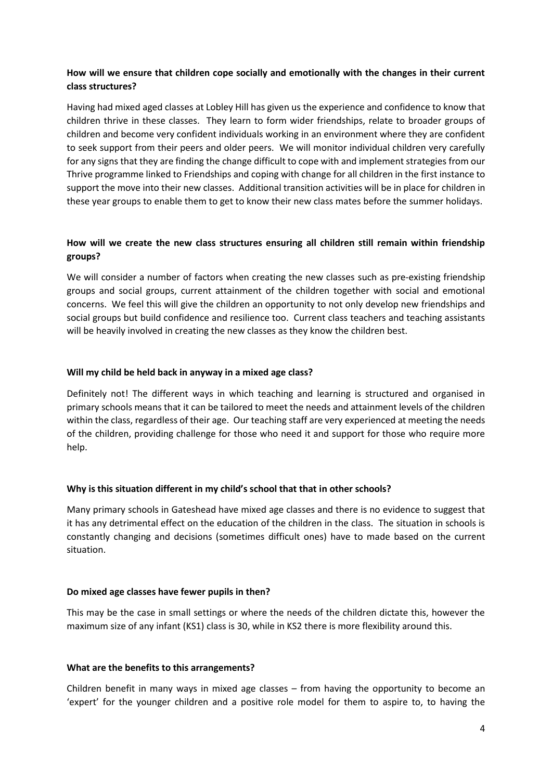# **How will we ensure that children cope socially and emotionally with the changes in their current class structures?**

Having had mixed aged classes at Lobley Hill has given us the experience and confidence to know that children thrive in these classes. They learn to form wider friendships, relate to broader groups of children and become very confident individuals working in an environment where they are confident to seek support from their peers and older peers. We will monitor individual children very carefully for any signs that they are finding the change difficult to cope with and implement strategies from our Thrive programme linked to Friendships and coping with change for all children in the first instance to support the move into their new classes. Additional transition activities will be in place for children in these year groups to enable them to get to know their new class mates before the summer holidays.

# **How will we create the new class structures ensuring all children still remain within friendship groups?**

We will consider a number of factors when creating the new classes such as pre-existing friendship groups and social groups, current attainment of the children together with social and emotional concerns. We feel this will give the children an opportunity to not only develop new friendships and social groups but build confidence and resilience too. Current class teachers and teaching assistants will be heavily involved in creating the new classes as they know the children best.

### **Will my child be held back in anyway in a mixed age class?**

Definitely not! The different ways in which teaching and learning is structured and organised in primary schools means that it can be tailored to meet the needs and attainment levels of the children within the class, regardless of their age. Our teaching staff are very experienced at meeting the needs of the children, providing challenge for those who need it and support for those who require more help.

### **Why is this situation different in my child's school that that in other schools?**

Many primary schools in Gateshead have mixed age classes and there is no evidence to suggest that it has any detrimental effect on the education of the children in the class. The situation in schools is constantly changing and decisions (sometimes difficult ones) have to made based on the current situation.

### **Do mixed age classes have fewer pupils in then?**

This may be the case in small settings or where the needs of the children dictate this, however the maximum size of any infant (KS1) class is 30, while in KS2 there is more flexibility around this.

### **What are the benefits to this arrangements?**

Children benefit in many ways in mixed age classes – from having the opportunity to become an 'expert' for the younger children and a positive role model for them to aspire to, to having the